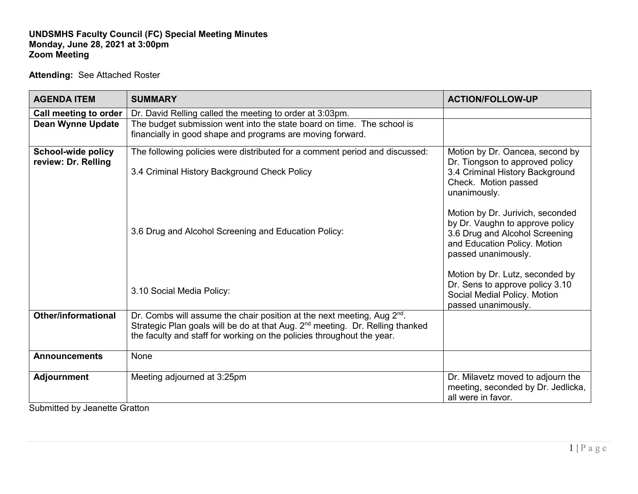## **UNDSMHS Faculty Council (FC) Special Meeting Minutes Monday, June 28, 2021 at 3:00pm Zoom Meeting**

## **Attending:** See Attached Roster

| <b>AGENDA ITEM</b>                        | <b>SUMMARY</b>                                                                                                                                                                                                                                             | <b>ACTION/FOLLOW-UP</b>                                                                                                                                      |
|-------------------------------------------|------------------------------------------------------------------------------------------------------------------------------------------------------------------------------------------------------------------------------------------------------------|--------------------------------------------------------------------------------------------------------------------------------------------------------------|
| Call meeting to order                     | Dr. David Relling called the meeting to order at 3:03pm.                                                                                                                                                                                                   |                                                                                                                                                              |
| <b>Dean Wynne Update</b>                  | The budget submission went into the state board on time. The school is<br>financially in good shape and programs are moving forward.                                                                                                                       |                                                                                                                                                              |
| School-wide policy<br>review: Dr. Relling | The following policies were distributed for a comment period and discussed:<br>3.4 Criminal History Background Check Policy                                                                                                                                | Motion by Dr. Oancea, second by<br>Dr. Tiongson to approved policy<br>3.4 Criminal History Background<br>Check. Motion passed<br>unanimously.                |
|                                           | 3.6 Drug and Alcohol Screening and Education Policy:                                                                                                                                                                                                       | Motion by Dr. Jurivich, seconded<br>by Dr. Vaughn to approve policy<br>3.6 Drug and Alcohol Screening<br>and Education Policy. Motion<br>passed unanimously. |
|                                           | 3.10 Social Media Policy:                                                                                                                                                                                                                                  | Motion by Dr. Lutz, seconded by<br>Dr. Sens to approve policy 3.10<br>Social Medial Policy. Motion<br>passed unanimously.                                    |
| <b>Other/informational</b>                | Dr. Combs will assume the chair position at the next meeting, Aug 2 <sup>nd</sup> .<br>Strategic Plan goals will be do at that Aug. 2 <sup>nd</sup> meeting. Dr. Relling thanked<br>the faculty and staff for working on the policies throughout the year. |                                                                                                                                                              |
| <b>Announcements</b>                      | None                                                                                                                                                                                                                                                       |                                                                                                                                                              |
| <b>Adjournment</b>                        | Meeting adjourned at 3:25pm                                                                                                                                                                                                                                | Dr. Milavetz moved to adjourn the<br>meeting, seconded by Dr. Jedlicka,<br>all were in favor.                                                                |

Submitted by Jeanette Gratton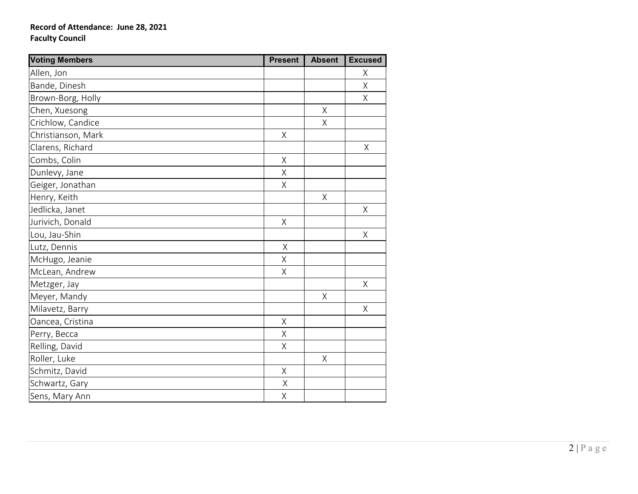## **Record of Attendance: June 28, 2021 Faculty Council**

| <b>Voting Members</b> | <b>Present</b> | <b>Absent</b> | <b>Excused</b> |
|-----------------------|----------------|---------------|----------------|
| Allen, Jon            |                |               | Χ              |
| Bande, Dinesh         |                |               | $\sf X$        |
| Brown-Borg, Holly     |                |               | Χ              |
| Chen, Xuesong         |                | Χ             |                |
| Crichlow, Candice     |                | $\sf X$       |                |
| Christianson, Mark    | $\sf X$        |               |                |
| Clarens, Richard      |                |               | Χ              |
| Combs, Colin          |                |               |                |
| Dunlevy, Jane         | $\mathsf X$    |               |                |
| Geiger, Jonathan      | $\sf X$        |               |                |
| Henry, Keith          |                | Χ             |                |
| Jedlicka, Janet       |                |               | Χ              |
| Jurivich, Donald      | $\sf X$        |               |                |
| Lou, Jau-Shin         |                |               | $\sf X$        |
| Lutz, Dennis          | $\mathsf X$    |               |                |
| McHugo, Jeanie        | $\sf X$        |               |                |
| McLean, Andrew        | $\sf X$        |               |                |
| Metzger, Jay          |                |               | Χ              |
| Meyer, Mandy          |                | $\sf X$       |                |
| Milavetz, Barry       |                |               | Χ              |
| Oancea, Cristina      | $\sf X$        |               |                |
| Perry, Becca          | $\sf X$        |               |                |
| Relling, David        | $\mathsf X$    |               |                |
| Roller, Luke          |                | Χ             |                |
| Schmitz, David        | $\sf X$        |               |                |
| Schwartz, Gary        | $\sf X$        |               |                |
| Sens, Mary Ann        | Χ              |               |                |